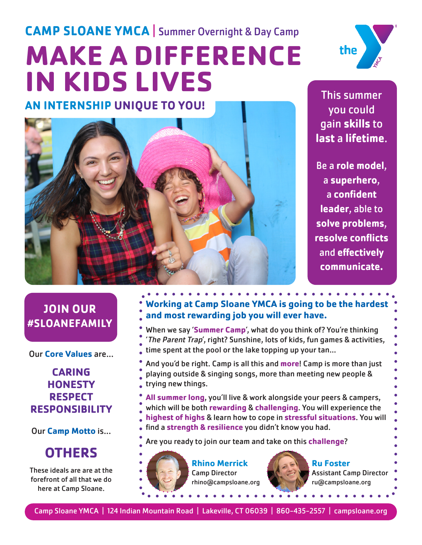# **MAKE A DIFFERENCE IN KIDS LIVES CAMP SLOANE YMCA** | Summer Overnight & Day Camp **AN INTERNSHIP UNIQUE TO YOU!**



This summer you could gain **skills** to **last** a **lifetime**.

Be a **role model**, a **superhero**, a **confident leader**, able to **solve problems**, **resolve conflicts**  and **effectively communicate.**

**JOIN OUR #SLOANEFAMILY**

Our **Core Values** are...

### **CARING HONESTY RESPECT RESPONSIBILITY**

Our **Camp Motto** is...

# **OTHERS**

These ideals are are at the forefront of all that we do here at Camp Sloane.

# **Working at Camp Sloane YMCA is going to be the hardest and most rewarding job you will ever have.**

- When we say '**Summer Camp**', what do you think of? You're thinking 'The Parent Trap', right? Sunshine, lots of kids, fun games & activities, time spent at the pool or the lake topping up your tan...
- And you'd be right. Camp is all this and **more**! Camp is more than just playing outside & singing songs, more than meeting new people & trying new things.
- **All summer long**, you'll live & work alongside your peers & campers, which will be both **rewarding** & **challenging**. You will experience the **highest of highs** & learn how to cope in **stressful situations**. You will find a **strength & resilience** you didn't know you had.
- Are you ready to join our team and take on this **challenge**?



**Rhino Merrick** Camp Director rhino@campsloane.org



**Ru Foster** Assistant Camp Director ru@campsloane.org

Camp Sloane YMCA | 124 Indian Mountain Road | Lakeville, CT 06039 | 860-435-2557 | campsloane.org